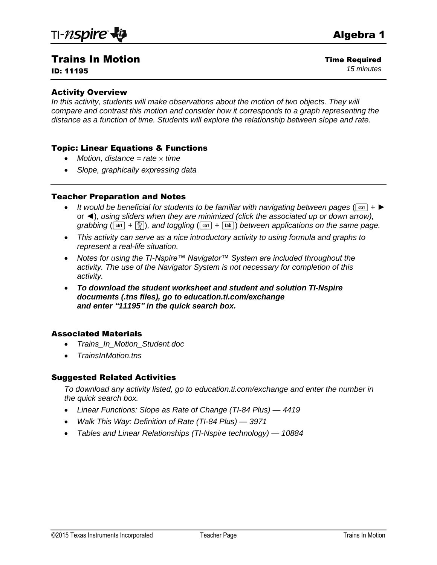# Trains In Motion

ID: 11195

#### Activity Overview

*In this activity, students will make observations about the motion of two objects. They will compare and contrast this motion and consider how it corresponds to a graph representing the distance as a function of time. Students will explore the relationship between slope and rate.*

#### Topic: Linear Equations & Functions

- *Motion, distance = rate time*
- *Slope, graphically expressing data*

#### Teacher Preparation and Notes

- **I** *It would be beneficial for students to be familiar with navigating between pages (* $[\cdot \cdot \cdot]$ *+ ►* or ◄)*, using sliders when they are minimized (click the associated up or down arrow), grabbing*  $({\bf c}$ <sub> ${\bf tr}$ </sub> $+$   $\binom{2}{3}$ *), and toggling*  $({\bf c}$ <sub> ${\bf tr}$  ${\bf r}$  $+$   ${\bf t}$ <sub> ${\bf ab}$ </sub>) *between applications on the same page.*</sub>
- *This activity can serve as a nice introductory activity to using formula and graphs to represent a real-life situation.*
- *Notes for using the TI-Nspire™ Navigator™ System are included throughout the activity. The use of the Navigator System is not necessary for completion of this activity.*
- *To download the student worksheet and student and solution TI-Nspire documents (.tns files), go to education.ti.com/exchange and enter "11195" in the quick search box.*

#### Associated Materials

- *Trains\_In\_Motion\_Student.doc*
- *TrainsInMotion.tns*

#### Suggested Related Activities

*To download any activity listed, go to education.ti.com/exchange and enter the number in the quick search box.*

- *Linear Functions: Slope as Rate of Change (TI-84 Plus) — 4419*
- *Walk This Way: Definition of Rate (TI-84 Plus) — 3971*
- *Tables and Linear Relationships (TI-Nspire technology) — 10884*

Time Required *15 minutes*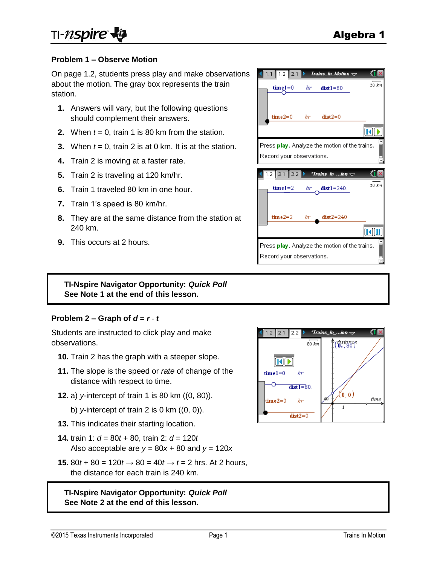### **Problem 1 – Observe Motion**

On page 1.2, students press play and make observations about the motion. The gray box represents the train station.

- **1.** Answers will vary, but the following questions should complement their answers.
- **2.** When *t* = 0, train 1 is 80 km from the station.
- **3.** When *t* = 0, train 2 is at 0 km. It is at the station.
- **4.** Train 2 is moving at a faster rate.
- **5.** Train 2 is traveling at 120 km/hr.
- **6.** Train 1 traveled 80 km in one hour.
- **7.** Train 1's speed is 80 km/hr.
- **8.** They are at the same distance from the station at 240 km.
- **9.** This occurs at 2 hours.



### **TI-Nspire Navigator Opportunity:** *Quick Poll* **See Note 1 at the end of this lesson.**

#### **Problem 2 – Graph of**  $d = r \cdot t$

Students are instructed to click play and make observations.

- **10.** Train 2 has the graph with a steeper slope.
- **11.** The slope is the speed or *rate* of change of the distance with respect to time.
- **12.** a) *y*-intercept of train 1 is 80 km ((0, 80)).
	- b) *y*-intercept of train 2 is 0 km ((0, 0)).
- **13.** This indicates their starting location.
- **14.** train 1: *d* = 80*t* + 80, train 2: *d* = 120*t* Also acceptable are  $y = 80x + 80$  and  $y = 120x$
- **15.** 80*t* + 80 = 120*t* → 80 = 40*t* → *t* = 2 hrs. At 2 hours, the distance for each train is 240 km.

**TI-Nspire Navigator Opportunity:** *Quick Poll* **See Note 2 at the end of this lesson.**

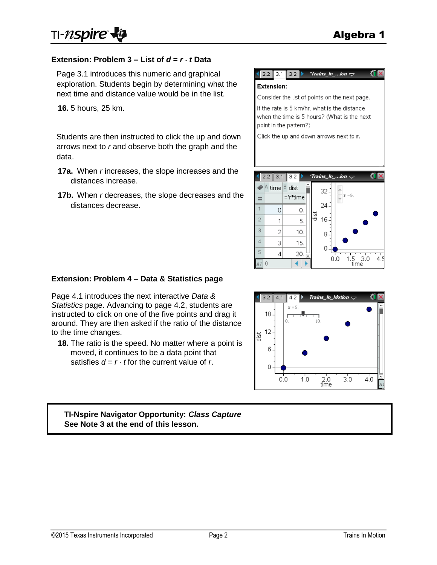### **Extension: Problem 3 – List of**  $d = r \cdot t$  **Data**

Page 3.1 introduces this numeric and graphical exploration. Students begin by determining what the next time and distance value would be in the list.

**16.** 5 hours, 25 km.

Students are then instructed to click the up and down arrows next to *r* and observe both the graph and the data.

- **17a.** When *r* increases, the slope increases and the distances increase.
- **17b.** When *r* decreases, the slope decreases and the distances decrease.



Consider the list of points on the next page.

If the rate is 5 km/hr, what is the distance when the time is 5 hours? (What is the next point in the pattern?)

Click the up and down arrows next to r.



#### **Extension: Problem 4 – Data & Statistics page**

Page 4.1 introduces the next interactive *Data & Statistics* page. Advancing to page 4.2, students are instructed to click on one of the five points and drag it around. They are then asked if the ratio of the distance to the time changes.

**18.** The ratio is the speed. No matter where a point is moved, it continues to be a data point that satisfies  $d = r \cdot t$  for the current value of r.



# **TI-Nspire Navigator Opportunity:** *Class Capture* **See Note 3 at the end of this lesson.**